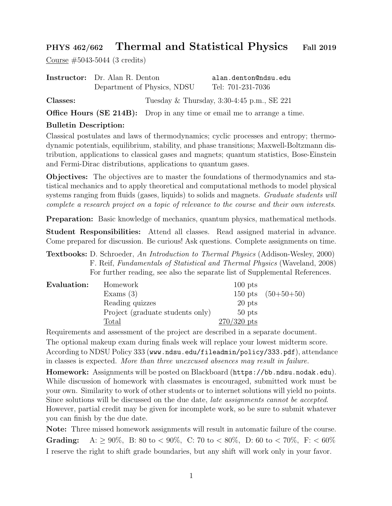## PHYS 462/662 Thermal and Statistical Physics Fall 2019

Course #5043-5044 (3 credits)

|          | <b>Instructor:</b> Dr. Alan R. Denton | alan.denton@ndsu.edu                         |  |
|----------|---------------------------------------|----------------------------------------------|--|
|          | Department of Physics, NDSU           | Tel: 701-231-7036                            |  |
| Classes: |                                       | Tuesday & Thursday, $3:30-4:45$ p.m., SE 221 |  |

Office Hours (SE 214B): Drop in any time or email me to arrange a time.

## Bulletin Description:

Classical postulates and laws of thermodynamics; cyclic processes and entropy; thermodynamic potentials, equilibrium, stability, and phase transitions; Maxwell-Boltzmann distribution, applications to classical gases and magnets; quantum statistics, Bose-Einstein and Fermi-Dirac distributions, applications to quantum gases.

Objectives: The objectives are to master the foundations of thermodynamics and statistical mechanics and to apply theoretical and computational methods to model physical systems ranging from fluids (gases, liquids) to solids and magnets. *Graduate students will* complete a research project on a topic of relevance to the course and their own interests.

Preparation: Basic knowledge of mechanics, quantum physics, mathematical methods.

Student Responsibilities: Attend all classes. Read assigned material in advance. Come prepared for discussion. Be curious! Ask questions. Complete assignments on time.

Textbooks: D. Schroeder, An Introduction to Thermal Physics (Addison-Wesley, 2000) F. Reif, Fundamentals of Statistical and Thermal Physics (Waveland, 2008) For further reading, see also the separate list of Supplemental References.

| Evaluation: | Homework                         | $100$ pts     |                      |
|-------------|----------------------------------|---------------|----------------------|
|             | Exams $(3)$                      |               | 150 pts $(50+50+50)$ |
|             | Reading quizzes                  | 20 pts        |                      |
|             | Project (graduate students only) | $50$ pts      |                      |
|             | $\text{Total}$                   | $270/320$ pts |                      |

Requirements and assessment of the project are described in a separate document. The optional makeup exam during finals week will replace your lowest midterm score. According to NDSU Policy 333 (www.ndsu.edu/fileadmin/policy/333.pdf), attendance in classes is expected. More than three unexcused absences may result in failure.

Homework: Assignments will be posted on Blackboard (https://bb.ndsu.nodak.edu). While discussion of homework with classmates is encouraged, submitted work must be your own. Similarity to work of other students or to internet solutions will yield no points. Since solutions will be discussed on the due date, late assignments cannot be accepted. However, partial credit may be given for incomplete work, so be sure to submit whatever you can finish by the due date.

Note: Three missed homework assignments will result in automatic failure of the course. **Grading:** A:  $\geq 90\%$ , B: 80 to < 90%, C: 70 to < 80%, D: 60 to < 70%, F: < 60% I reserve the right to shift grade boundaries, but any shift will work only in your favor.